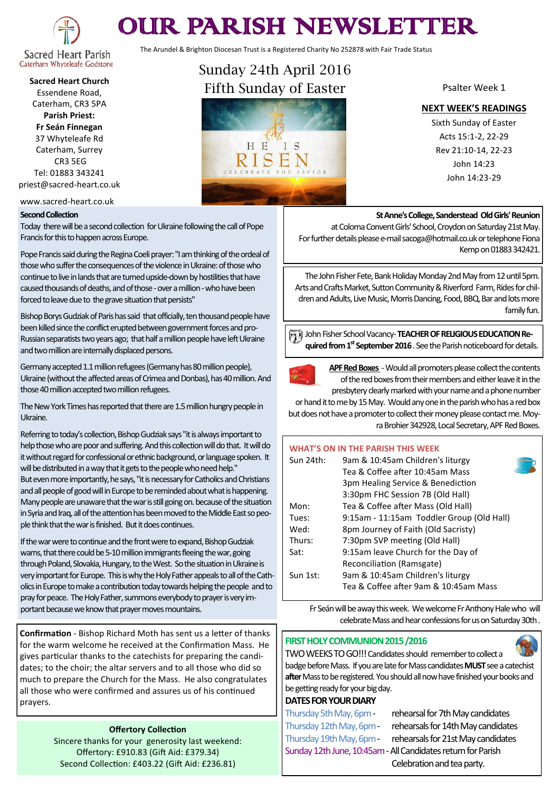

# OUR PARISH NEWSLETTER

The Arundel & Brighton Diocesan Trust is a Registered Charity No 252878 with Fair Trade Status

Caterham Whyteleafe Godstone **Sacred Heart Church** Essendene Road,

Caterham, CR3 5PA **Parish Priest:**

**Fr Seán Finnegan** 37 Whyteleafe Rd Caterham, Surrey CR3 5EG Tel: 01883 343241

priest@sacred-heart.co.uk

www.sacred-heart.co.uk

#### **Second Collection**

Today there will be a second collection for Ukraine following the call of Pope Francis for this to happen across Europe.

Pope Francis said during the Regina Coeli prayer: "I am thinking of the ordeal of those who suffer the consequences of the violence in Ukraine: of those who continue to live in lands that are turned upside-down by hostilities that have caused thousands of deaths, and of those - over a million - who have been forced to leave due to the grave situation that persists"

Bishop Borys Gudziak of Paris has said that officially, ten thousand people have been killed since the conflict erupted between government forces and pro-Russian separatists two years ago; that half a million people have left Ukraine and two million are internally displaced persons.

Germany accepted 1.1 million refugees (Germany has 80 million people), Ukraine (without the affected areas of Crimea and Donbas), has 40 million. And those 40 million accepted two million refugees.

The New York Times has reported that there are 1.5 million hungry people in Ukraine.

Referring to today's collection, Bishop Gudziak says "it is always important to help those who are poor and suffering. And this collection will do that. It will do it without regard for confessional or ethnic background, or language spoken. It will be distributed in a way that it gets to the people who need help." But even more importantly, he says, "it is necessary for Catholics and Christians and all people of good will in Europe to be reminded about what is happening. Many people are unaware that the war is still going on. because of the situation in Syria and Iraq, all of the attention has been moved to the Middle East so people think that the war is finished. But it does continues.

If the war were to continue and the front were to expand, Bishop Gudziak warns, that there could be 5-10 million immigrants fleeing the war, going through Poland, Slovakia, Hungary, to the West. So the situation in Ukraine is very important for Europe. This is why the Holy Father appeals to all of the Catholics in Europe to make a contribution today towards helping the people and to pray for peace. The Holy Father, summons everybody to prayer is very important because we know that prayer moves mountains.

**Confirmation** - Bishop Richard Moth has sent us a letter of thanks for the warm welcome he received at the Confirmation Mass. He gives particular thanks to the catechists for preparing the candidates; to the choir; the altar servers and to all those who did so much to prepare the Church for the Mass. He also congratulates all those who were confirmed and assures us of his continued prayers.

#### **Offertory Collection**

Sincere thanks for your generosity last weekend: Offertory: £910.83 (Gift Aid: £379.34) Second Collection: £403.22 (Gift Aid: £236.81)



Psalter Week 1

#### **NEXT WEEK'S READINGS**

Sixth Sunday of Easter Acts 15:1-2, 22-29 Rev 21:10-14, 22-23 John 14:23 John 14:23-29

#### **St Anne's College, Sanderstead Old Girls' Reunion**

at Coloma Convent Girls' School, Croydon on Saturday 21st May. For further details please e-mail sacoga@hotmail.co.uk or telephone Fiona Kemp on 01883 342421.

The John Fisher Fete, Bank Holiday Monday 2nd May from 12 until 5pm. Arts and Crafts Market, Sutton Community & Riverford Farm, Rides for children and Adults, Live Music, Morris Dancing, Food, BBQ, Bar and lots more family fun.

John Fisher School Vacancy-**TEACHER OF RELIGIOUS EDUCATION Required from 1st September 2016** . See the Parish noticeboard for details.



**APF Red Boxes** -Would all promoters please collect the contents of the red boxes from their members and either leave it in the presbytery clearly marked with your name and a phone number

or hand it to me by 15 May. Would any one in the parish who has a red box but does not have a promoter to collect their money please contact me. Moyra Brohier 342928, Local Secretary, APF Red Boxes.

| <b>WHAT'S ON IN THE PARISH THIS WEEK</b> |                                           |  |
|------------------------------------------|-------------------------------------------|--|
| Sun 24th:                                | 9am & 10:45am Children's liturgy          |  |
|                                          | Tea & Coffee after 10:45am Mass           |  |
|                                          | 3pm Healing Service & Benediction         |  |
|                                          | 3:30pm FHC Session 7B (Old Hall)          |  |
| Mon:                                     | Tea & Coffee after Mass (Old Hall)        |  |
| Tues:                                    | 9:15am - 11:15am Toddler Group (Old Hall) |  |
| Wed:                                     | 8pm Journey of Faith (Old Sacristy)       |  |
| Thurs:                                   | 7:30pm SVP meeting (Old Hall)             |  |
| Sat:                                     | 9:15am leave Church for the Day of        |  |
|                                          | Reconciliation (Ramsgate)                 |  |
| Sun 1st:                                 | 9am & 10:45am Children's liturgy          |  |
|                                          | Tea & Coffee after 9am & 10:45am Mass     |  |
|                                          |                                           |  |

Fr Seán will be away this week. We welcome Fr Anthony Hale who will celebrate Mass and hear confessions for us on Saturday 30th .

#### **FIRST HOLY COMMUNION 2015 /2016**



TWO WEEKS TO GO!!! Candidates should remember to collect a badge before Mass. If you are late for Mass candidates **MUST** see a catechist **after** Mass to be registered. You should all now have finished your books and be getting ready for your big day.

#### **DATES FOR YOUR DIARY**

Thursday 5th May, 6pm - rehearsal for 7th May candidates

Thursday 12th May, 6pm - rehearsals for 14th May candidates Thursday 19th May, 6pm - rehearsals for 21st May candidates Sunday 12th June, 10:45am - All Candidates return for Parish Celebration and tea party.